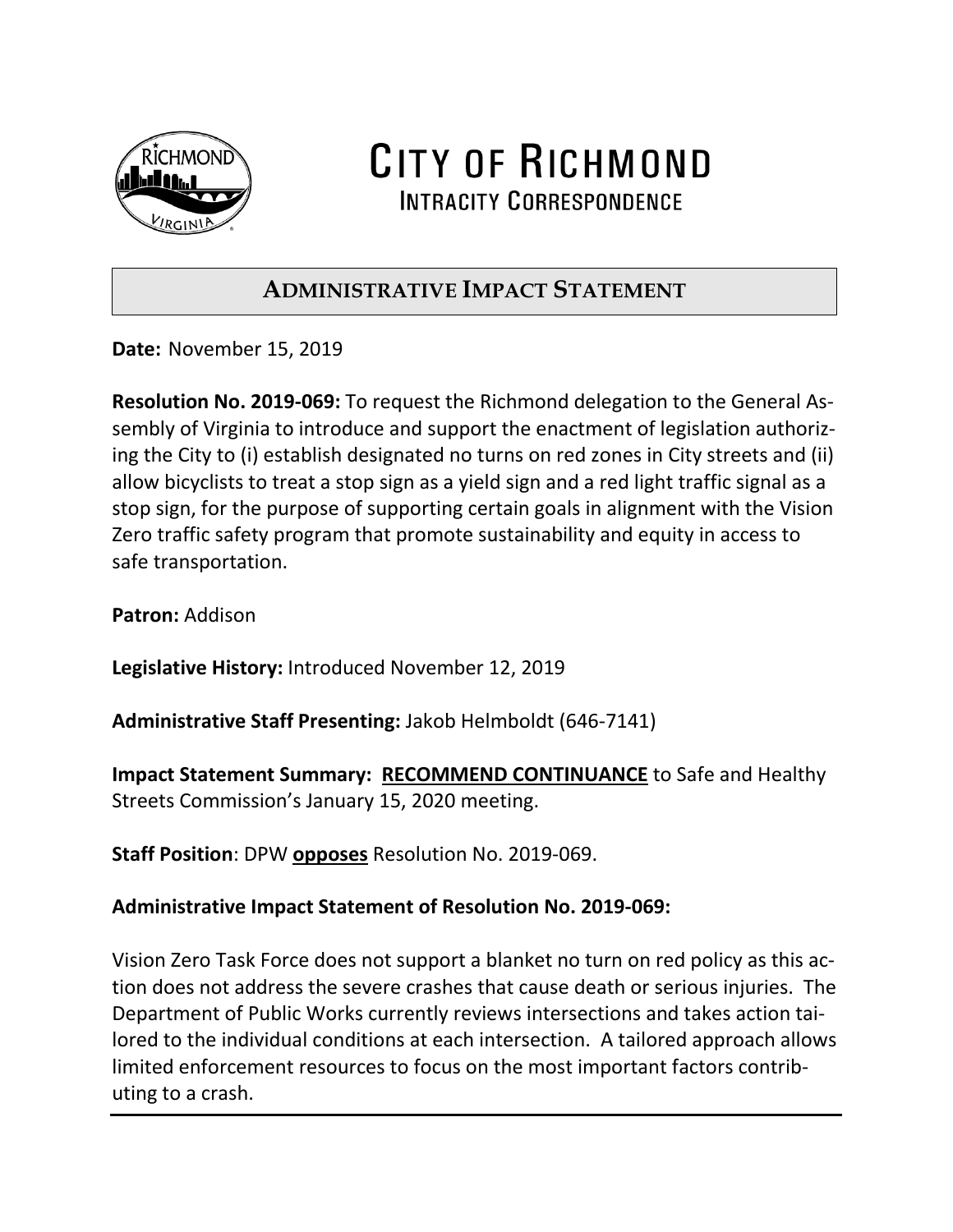

CITY OF RICHMOND **INTRACITY CORRESPONDENCE** 

## **ADMINISTRATIVE IMPACT STATEMENT**

**Date:** November 15, 2019

**Resolution No. 2019-069:** To request the Richmond delegation to the General Assembly of Virginia to introduce and support the enactment of legislation authorizing the City to (i) establish designated no turns on red zones in City streets and (ii) allow bicyclists to treat a stop sign as a yield sign and a red light traffic signal as a stop sign, for the purpose of supporting certain goals in alignment with the Vision Zero traffic safety program that promote sustainability and equity in access to safe transportation.

**Patron:** Addison

**Legislative History:** Introduced November 12, 2019

**Administrative Staff Presenting:** Jakob Helmboldt (646-7141)

**Impact Statement Summary: RECOMMEND CONTINUANCE** to Safe and Healthy Streets Commission's January 15, 2020 meeting.

**Staff Position**: DPW **opposes** Resolution No. 2019-069.

## **Administrative Impact Statement of Resolution No. 2019-069:**

Vision Zero Task Force does not support a blanket no turn on red policy as this action does not address the severe crashes that cause death or serious injuries. The Department of Public Works currently reviews intersections and takes action tailored to the individual conditions at each intersection. A tailored approach allows limited enforcement resources to focus on the most important factors contributing to a crash.